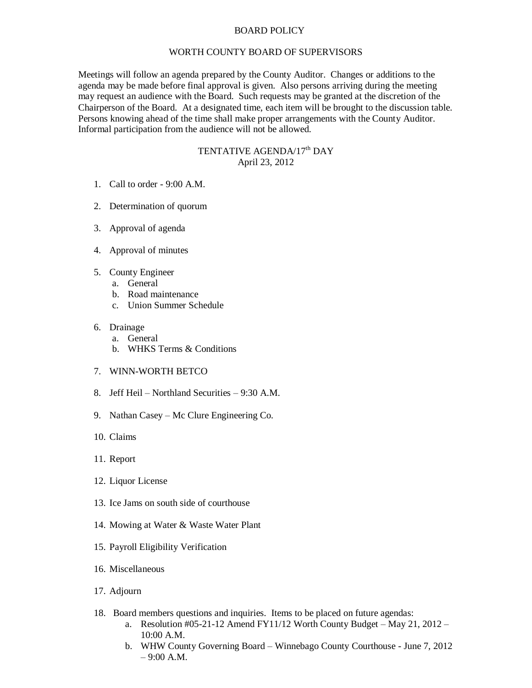## BOARD POLICY

## WORTH COUNTY BOARD OF SUPERVISORS

Meetings will follow an agenda prepared by the County Auditor. Changes or additions to the agenda may be made before final approval is given. Also persons arriving during the meeting may request an audience with the Board. Such requests may be granted at the discretion of the Chairperson of the Board. At a designated time, each item will be brought to the discussion table. Persons knowing ahead of the time shall make proper arrangements with the County Auditor. Informal participation from the audience will not be allowed.

## TENTATIVE AGENDA/17<sup>th</sup> DAY April 23, 2012

- 1. Call to order 9:00 A.M.
- 2. Determination of quorum
- 3. Approval of agenda
- 4. Approval of minutes
- 5. County Engineer
	- a. General
	- b. Road maintenance
	- c. Union Summer Schedule
- 6. Drainage
	- a. General
	- b. WHKS Terms & Conditions
- 7. WINN-WORTH BETCO
- 8. Jeff Heil Northland Securities 9:30 A.M.
- 9. Nathan Casey Mc Clure Engineering Co.
- 10. Claims
- 11. Report
- 12. Liquor License
- 13. Ice Jams on south side of courthouse
- 14. Mowing at Water & Waste Water Plant
- 15. Payroll Eligibility Verification
- 16. Miscellaneous
- 17. Adjourn
- 18. Board members questions and inquiries. Items to be placed on future agendas:
	- a. Resolution #05-21-12 Amend FY11/12 Worth County Budget May 21, 2012 10:00 A.M.
	- b. WHW County Governing Board Winnebago County Courthouse June 7, 2012  $-9:00 A.M.$